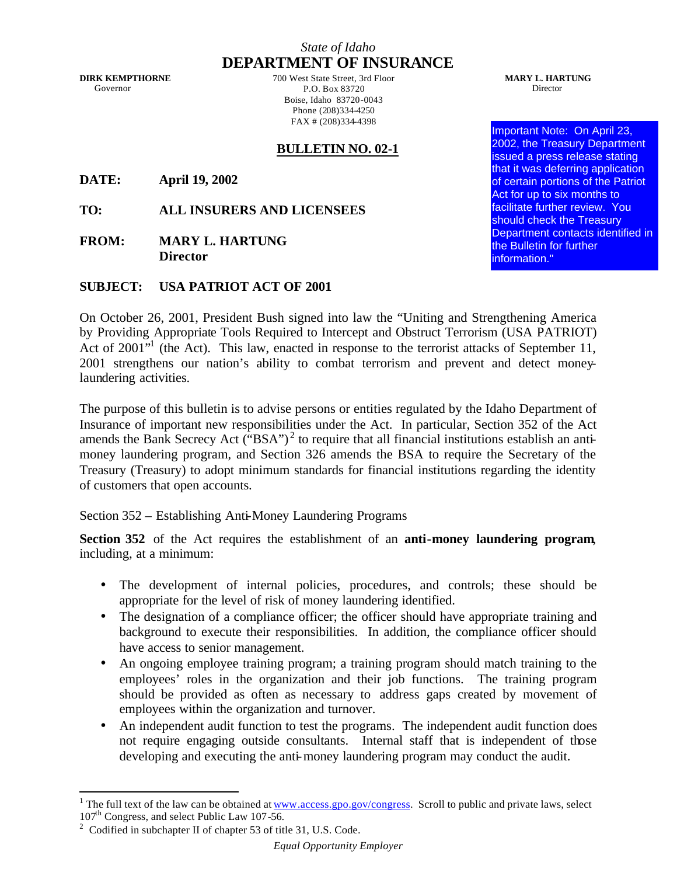## *State of Idaho* **DEPARTMENT OF INSURANCE**

**DIRK KEMPTHORNE** Governor

700 West State Street, 3rd Floor P.O. Box 83720 Boise, Idaho 83720-0043 Phone (208)334-4250 FAX # (208)334-4398

## **BULLETIN NO. 02-1**

**DATE: April 19, 2002**

**TO: ALL INSURERS AND LICENSEES**

**FROM: MARY L. HARTUNG Director**

## **SUBJECT: USA PATRIOT ACT OF 2001**

On October 26, 2001, President Bush signed into law the "Uniting and Strengthening America by Providing Appropriate Tools Required to Intercept and Obstruct Terrorism (USA PATRIOT) Act of 2001<sup>"</sup> (the Act). This law, enacted in response to the terrorist attacks of September 11, 2001 strengthens our nation's ability to combat terrorism and prevent and detect moneylaundering activities.

The purpose of this bulletin is to advise persons or entities regulated by the Idaho Department of Insurance of important new responsibilities under the Act. In particular, Section 352 of the Act amends the Bank Secrecy Act ("BSA")<sup>2</sup> to require that all financial institutions establish an antimoney laundering program, and Section 326 amends the BSA to require the Secretary of the Treasury (Treasury) to adopt minimum standards for financial institutions regarding the identity of customers that open accounts.

Section 352 – Establishing Anti-Money Laundering Programs

**Section 352** of the Act requires the establishment of an **anti-money laundering program**, including, at a minimum:

- The development of internal policies, procedures, and controls; these should be appropriate for the level of risk of money laundering identified.
- The designation of a compliance officer; the officer should have appropriate training and background to execute their responsibilities. In addition, the compliance officer should have access to senior management.
- An ongoing employee training program; a training program should match training to the employees' roles in the organization and their job functions. The training program should be provided as often as necessary to address gaps created by movement of employees within the organization and turnover.
- An independent audit function to test the programs. The independent audit function does not require engaging outside consultants. Internal staff that is independent of those developing and executing the anti-money laundering program may conduct the audit.

**MARY L. HARTUNG** Director

Important Note: On April 23, 2002, the Treasury Department issued a press release stating that it was deferring application of certain portions of the Patriot Act for up to six months to facilitate further review. You should check the Treasury Department contacts identified in the Bulletin for further information."

<sup>&</sup>lt;sup>1</sup> The full text of the law can be obtained at <u>www.access.gpo.gov/congress</u>. Scroll to public and private laws, select 107<sup>th</sup> Congress, and select Public Law 107-56.

<sup>&</sup>lt;sup>2</sup> Codified in subchapter II of chapter 53 of title 31, U.S. Code.